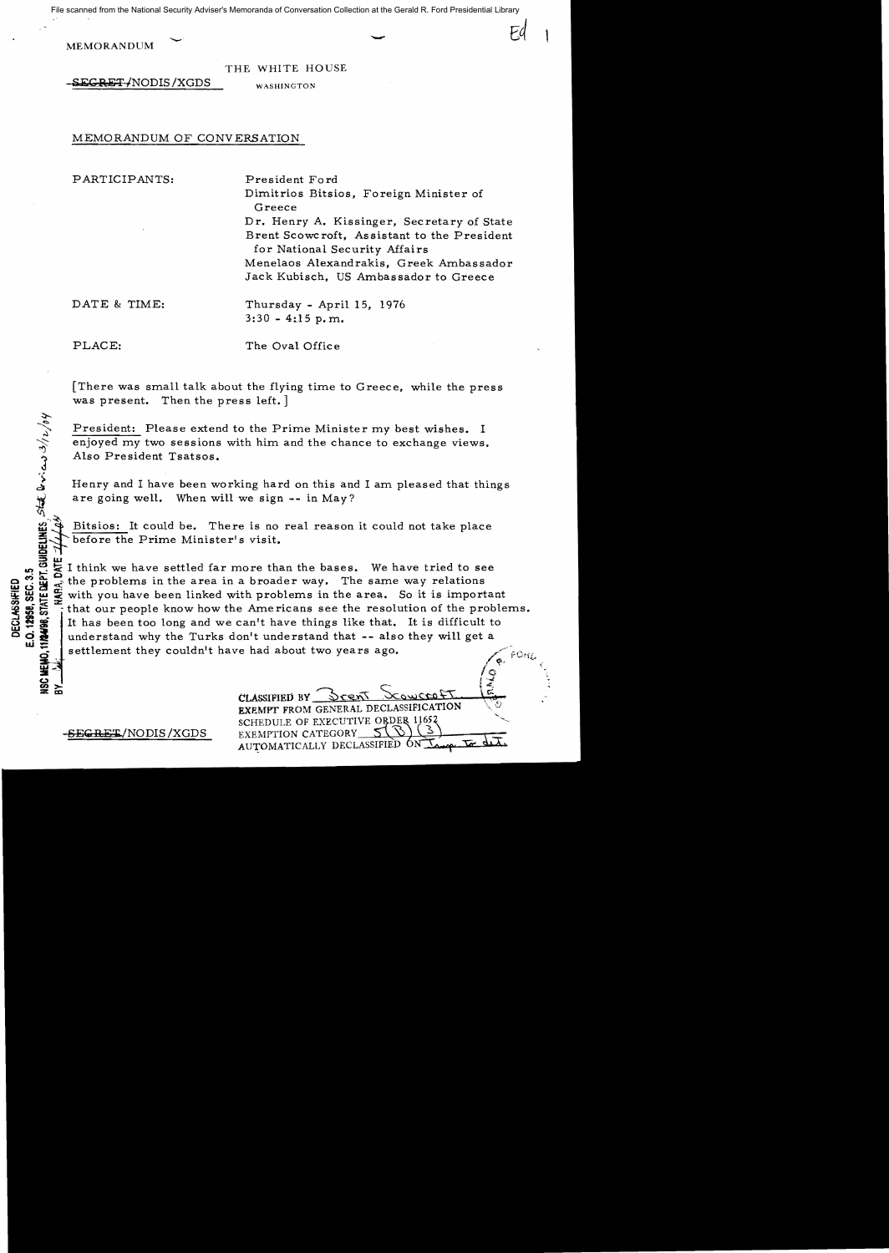File scanned from the National Security Adviser's Memoranda of Conversation Collection at the Gerald R. Ford Presidential Library

MEMORANDUM

THE WHITE HOUSE

 ${\tt sEGRET+NODIS/XGDS}$ 

WASHINGTON

## MEMORANDUM OF CONVERSATION

PARTICIPANTS: President Ford

Dimitrios Bitsios, Foreign Minister of Greece Dr. Henry A. Kissinger, Secretary of State Brent Scowcroft, Assistant to the President for National Security Affairs Menelaos Alexandrakis, Greek Ambassador Jack Kubisch, US Ambassador to Greece

DATE & TIME: Thursday - April 15, 1976  $3:30 - 4:15$  p.m.

**ING498, STATE DEPT. GUIDELINES, STATE DEVICABLE 3/12/64** 

PLACE: The Oval Office

There was small talk about the flying time to Greece, while the press was present. Then the press left.]

President: Please extend to the Prime Minister my best wishes. I enjoyed my two sessions with him and the chance to exchange views. Also President Tsatsos.

Henry and I have been working hard on this and I am pleased that things <sup>~</sup>are going well. When will we sign **--** in *May?* 

Bitsios: It could be. There is no real reason it could not take place before the Prime Minister's visit.

~~- *1'0'* 

It think we have settled far more than the bases. We have tried to see<br>
So the problems in the area in a broader way. The same way relations<br>  $\frac{1}{2}$  with you have been linked with problems in the area. So it is importa or  $\frac{60}{100}$   $\frac{1}{100}$   $\frac{1}{100}$  the problems in the area in a broader way. The same way relations<br>we will be with you have been linked with problems in the area. So it is import<br> $\frac{300}{100}$   $\frac{1}{100}$  fthat our with you have been linked with problems in the area. So it is important that our people know how the Americans see the resolution of the problems. It has been too long and we can't have things like that. It is difficult to **O**  $\sum_{n=1}^{\infty}$  understand why the Turks don't understand that -- also they will get a settlement they couldn't have had about two years ago.

 $\sum_{i=1}^{\infty}$ CLASSIFIED BY EXEMPT FROM GENERAL DECLASSIFICATION SCHEDULE OF EXECUTIVE ORDER AUTOMATICALLY DECLASSIFIED ON

j .,...(

**SEGRET/NODIS/XGDS** EXEMPTION CATEGORY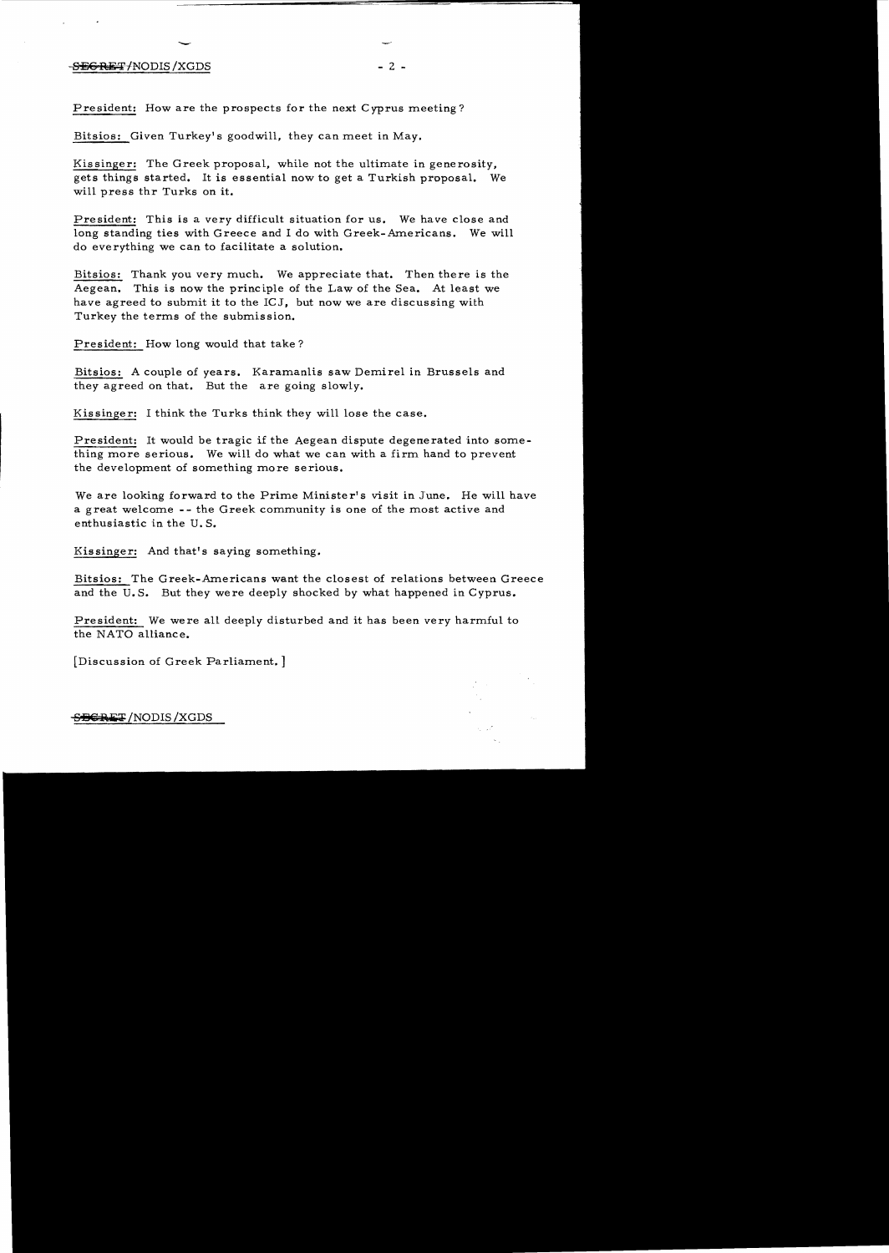## $-$  S $\equiv$ GRET/NODIS/XGDS - 2 -

President: How are the prospects for the next Cyprus meeting?

Bitsios: Given Turkey's goodwill, they can meet in May.

Kissinger: The Greek proposal, while not the ultimate in generosity, gets things started. It is essential now to get a Turkish proposal. We will press thr Turks on it.

President: This is a *very* difficult situation for us. We have close and long standing ties with Greece and I do with Greek-Americans. We will do everything we can to facilitate a solution.

Bitsios: Thank you very much. We appreciate that. Then there is the Aegean. This is now the principle of the Law of the Sea. At least we have agreed to submit it to the  $ICJ$ , but now we are discussing with Turkey the terms of the submission.

President: How long would that take?

Bitsios: A couple of years. Karamanlis saw Demirel in Brussels and they agreed on that. But the are going slowly.

Kissinger: I think the Turks think they will lose the case.

President: It would be tragic if the Aegean dispute degenerated into something more serious. We will do what we can with a firm hand to prevent the development of something more serious.

We are looking forward to the Prime Minister's visit in June. He will have a great welcome -- the Greek community is one of the most active and enthusiastic in the U. S.

Kissinger: And that's saying something.

Bitsios: The Greek-Americans want the closest of relations between Greece and the U.S. But they were deeply shocked by what happened in Cyprus.

President: We were all deeply disturbed and it has been very harmful to the NATO alliance.

[Discussion of Greek Parliament.]

**SBGRET** / NODIS / XGDS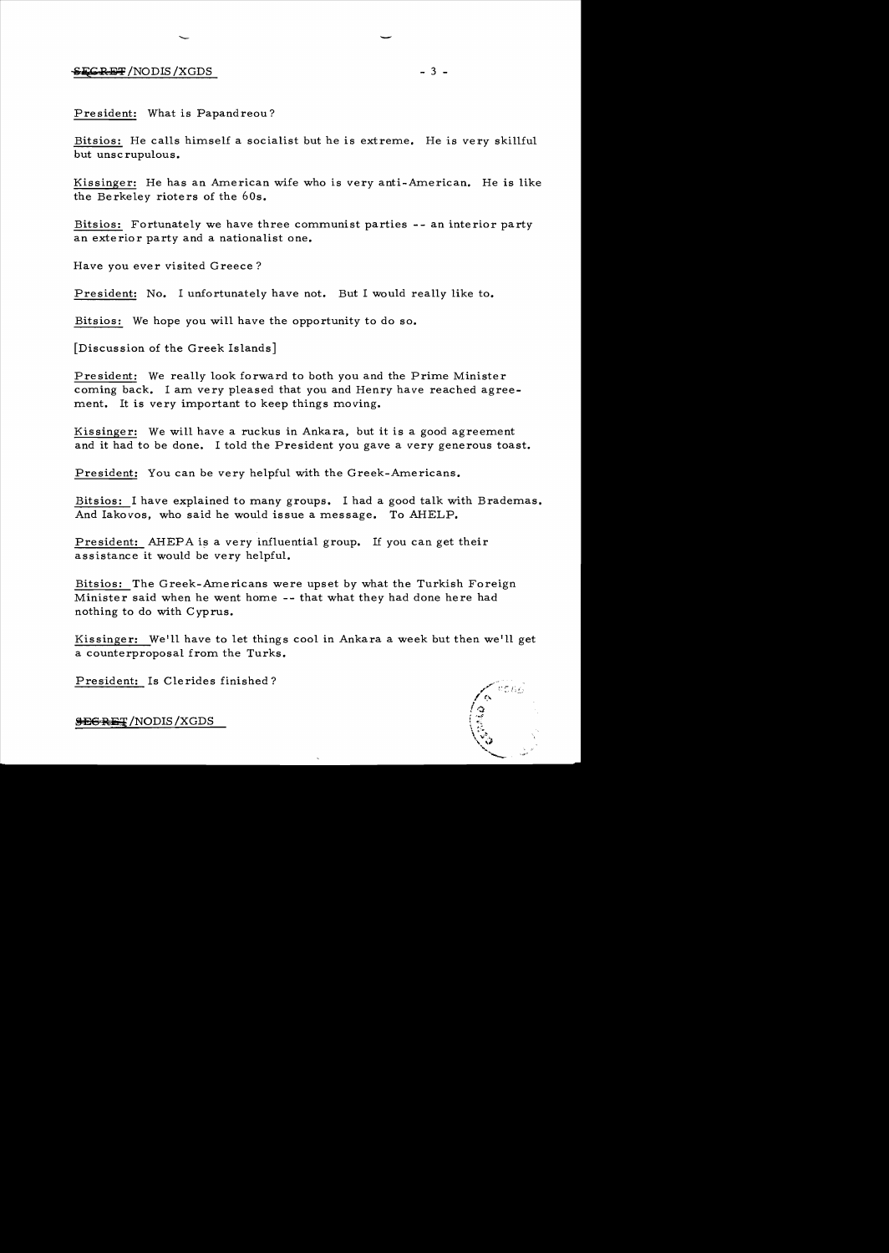President: What is Papandreou?

Bitsios: He calls himself a socialist but he is extreme. He is very skillful but unscrupulous.

Kissinger: He has an American wife who is very anti-American. He is like the Berkeley rioters of the 60s.

Bitsios: Fortunately we have three communist parties -- an interior party an exterior party and a nationalist one.

Have you ever visited Greece?

President: No. I unfortunately have not. But I would really like to.

Bitsios: We hope you will have the opportunity to do so.

[Discussion of the Greek Islands]

President: We really look forward to both you and the Prime Minister coming back. I am very pleased that you and Henry have reached agreement. It is very important to keep things moving.

Kissinger: We will have a ruckus in Ankara, but it is a good agreement and it had to be done. I told the President you gave a *very* generous toast.

President: You can be very helpful with the Greek-Americans.

Bitsios: I have explained to many groups. I had a good talk with Brademas. And Iakovos, who said he would issue a message. To AHELP.

President: AHEPA is a very influential group. If you can get their assistance it would be very helpful.

Bitsios: The Greek-Americans were upset *by* what the Turkish Foreign Minister said when he went home -- that what they had done here had nothing to do with Cyprus.

Kissinger: We'll have to let things cool in Ankara a week but then we'll get a counterproposal from the Turks.

President: Is Clerides finished?

**CONSTRUCTION** 

**SEGRET** / NODIS / XGDS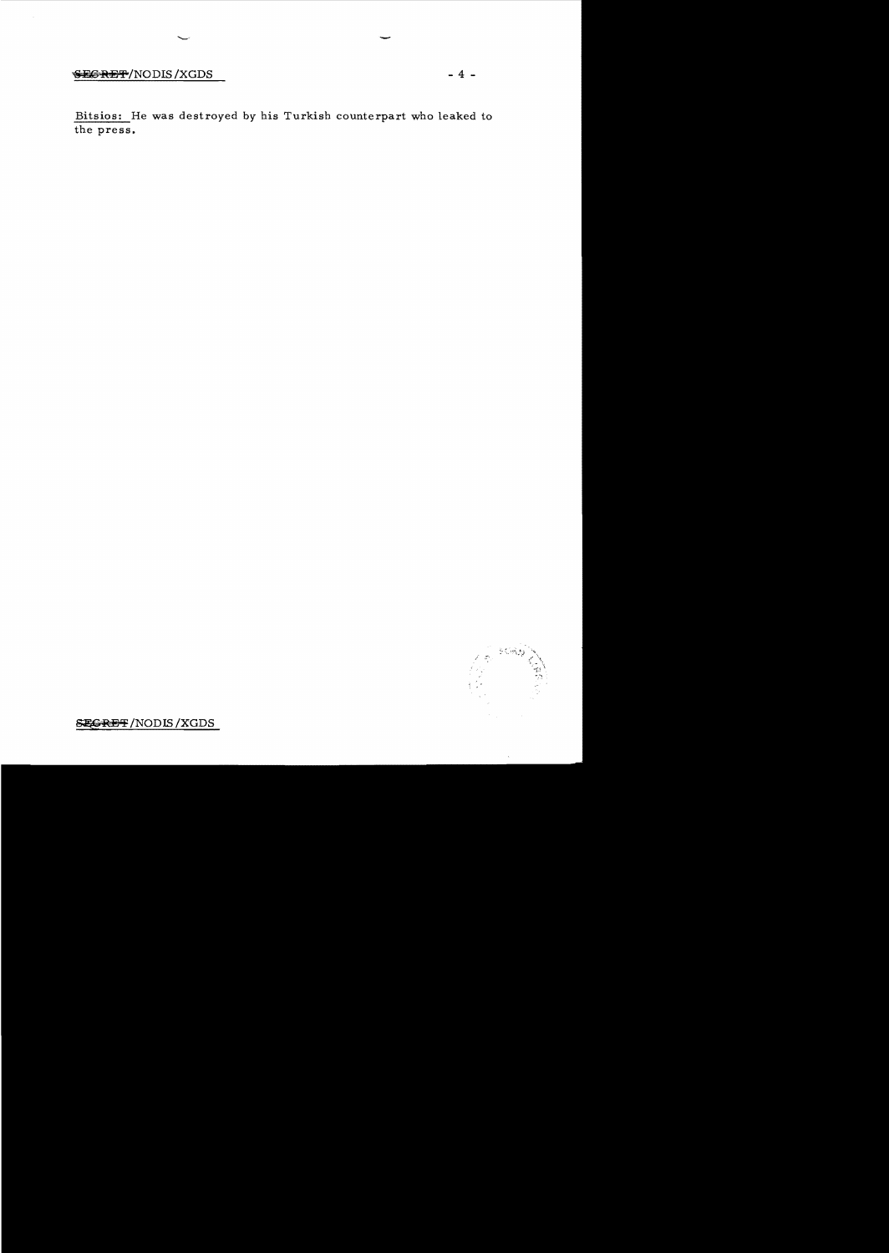## **SEGRET/NODIS/XGDS**

Bitsios: He was destroyed by his Turkish counterpart who leaked to the press.



 $\ddot{\phantom{a}}$ 

**SEGRET/NODIS/XGDS** 

 $-4 -$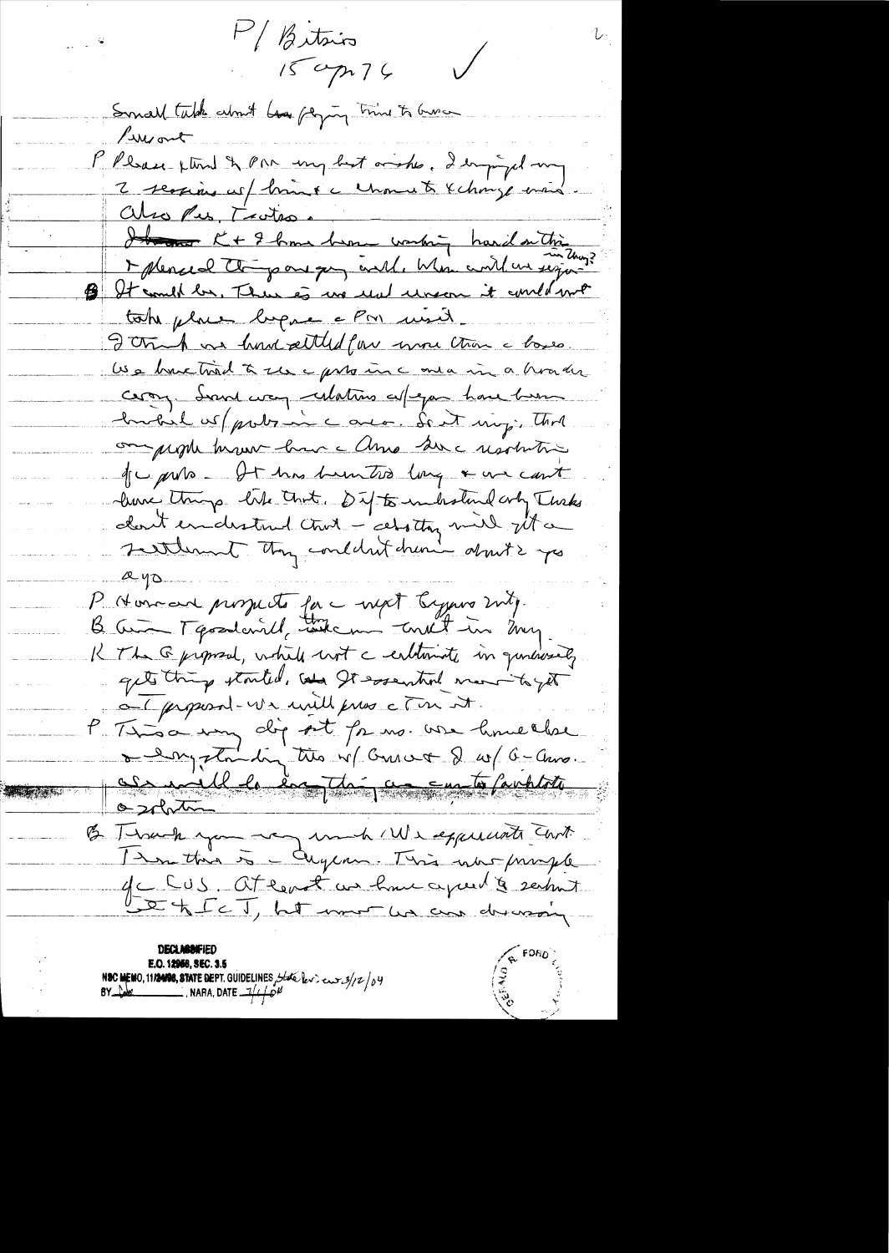M/ Bitsin 20 - P  $\bigvee$  $150p76$ Small table about has paying thing to Gues Luisant P Please flind & PM ung but wishes, I empired my 2 sections us/ brand a channel & change mais also Pes, Trates. It and the 2 home been working hard on this B It could be, There is we red uncom it could not take place begun a PM with J trup us hond atted for more than a base Use have tried to see a provenir a horater copy. Sound way relating esperan have been hubil us probabine avec. Sent my; That on people because have almo sure usolution que purs - It has buinted long & un cont live things like that. Out to include only Turks cloud enderstand chief - cetatoy mil jet a seitlement they concluded chan don't is you  $2 - 40$ P Nonced prospects for a next began ruly. B. Cura Tgoodcard, take me tout in my. K The @proposal, while not a entimate in quincusedy gets thing stouted, and It essential mornito yet OT proposal-via mille press c Tin at. P Time important par une home close osobitm B Thank you reg und We experients Cant 1 mm this is - augum. This war primple gc CUS. At least us have a peel & seems Let Ic T, het mor us as drassing **R** FORC

**DECLASSIFIE** E.O. 12966, SEC. 3.5 NSC MEMO, 11/2408, STATE DEPT. GUIDELINES, State lev.  $\cos 3/z / v$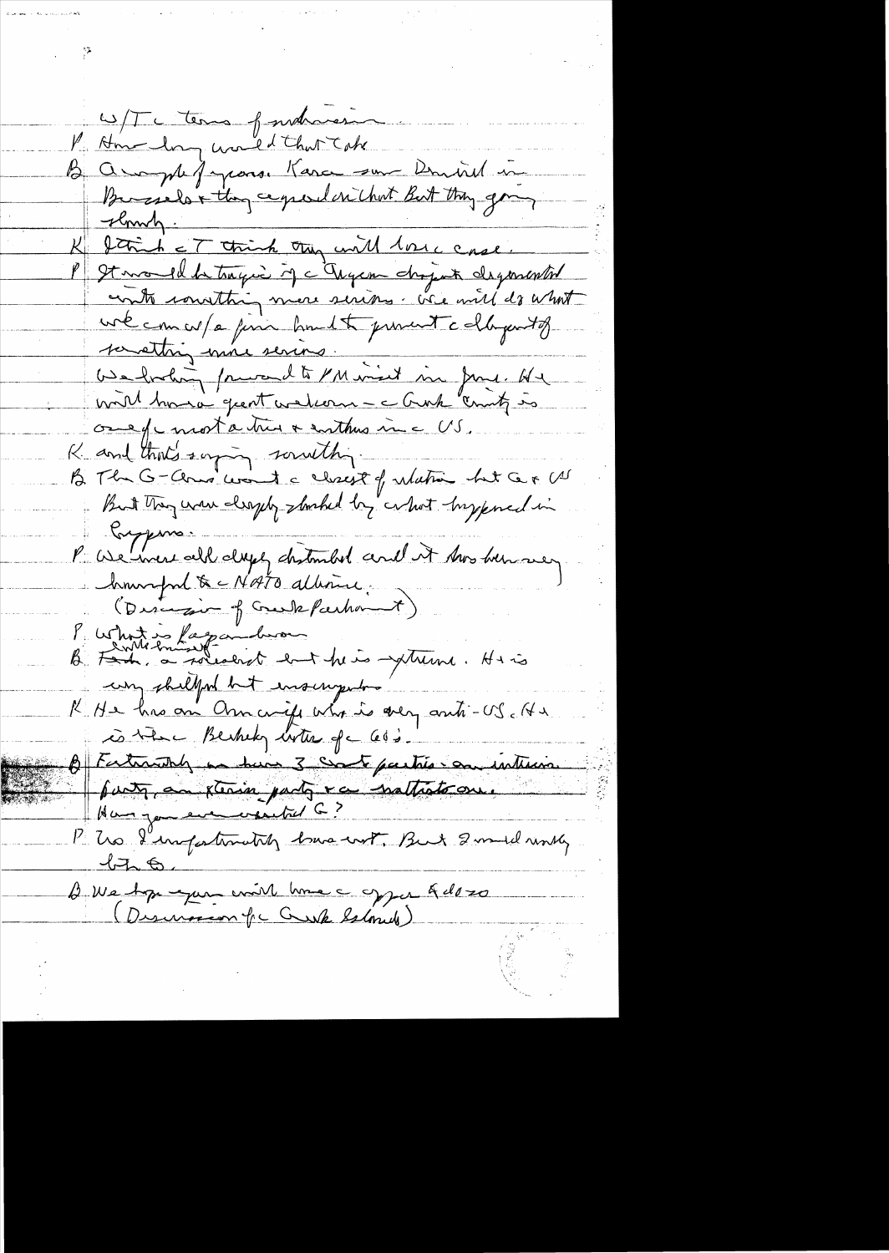W/T tema fundament P. Hm long world that Take B ample farconse Kara son Donniel in Bursiels & they capeular chut But they going slowly. K Strich = T think they will love case P St mond de tragia if a Trycon chopat degenerated contra constant more serious. We will do what une comun / a finir homest present callegents savething more seriors. <u>Gadrolin prevendte Minist sin June 142</u> one of most a très a enthus inc US. K and that's surpring southing -B The G-Clair cont a closest of whatin het Cer US But They was deeply slooked by what hypered in Compare. P We were all days chatended and it has been very howropond & CNATO albour. (Discretair of Greek Preshownt) Purhotis faganderon<br>B. Fan a roualent ent his metation. His un shellford but ensurgement K He has an Onnanife who is very anti-US. He is the Berkhely with of cold. B Fathanth en suis 3 de 6 partie en interior Han you even would G? P. Us I'infortunately have with But 2 model worky.  $476.$ B We Appequent université de la Gelozo